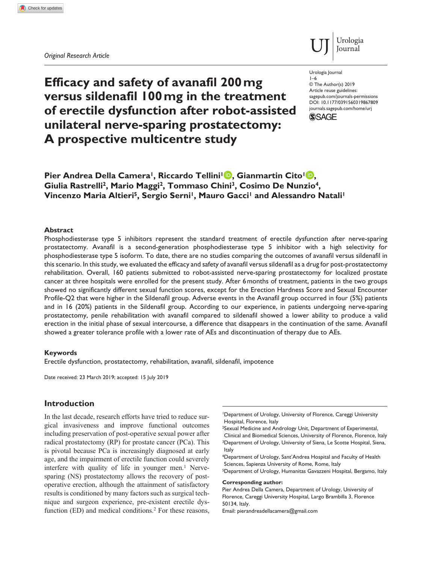*Original Research Article*



**Efficacy and safety of avanafil 200mg versus sildenafil 100mg in the treatment of erectile dysfunction after robot-assisted unilateral nerve-sparing prostatectomy: A prospective multicentre study**

Urologia Journal 1–6

DOI: 10.1177/0391560319867809 © The Author(s) 2019 Article reuse guidelines: [sagepub.com/journals-permissions](https://uk.sagepub.com/en-gb/journals-permissions) [journals.sagepub.com/home/urj](https://journals.sagepub.com/home/urj)



**Pier Andrea Della Camera<sup>1</sup>, Riccardo Tellini<sup>1</sup><sup>D</sup>, Gianmartin Cito<sup>1</sup><sup>D</sup>, Giulia Rastrelli2, Mario Maggi2, Tommaso Chini3, Cosimo De Nunzio4,**  Vincenzo Maria Altieri<sup>5</sup>, Sergio Serni<sup>1</sup>, Mauro Gacci<sup>1</sup> and Alessandro Natali<sup>1</sup>

#### **Abstract**

Phosphodiesterase type 5 inhibitors represent the standard treatment of erectile dysfunction after nerve-sparing prostatectomy. Avanafil is a second-generation phosphodiesterase type 5 inhibitor with a high selectivity for phosphodiesterase type 5 isoform. To date, there are no studies comparing the outcomes of avanafil versus sildenafil in this scenario. In this study, we evaluated the efficacy and safety of avanafil versus sildenafil as a drug for post-prostatectomy rehabilitation. Overall, 160 patients submitted to robot-assisted nerve-sparing prostatectomy for localized prostate cancer at three hospitals were enrolled for the present study. After 6months of treatment, patients in the two groups showed no significantly different sexual function scores, except for the Erection Hardness Score and Sexual Encounter Profile-Q2 that were higher in the Sildenafil group. Adverse events in the Avanafil group occurred in four (5%) patients and in 16 (20%) patients in the Sildenafil group. According to our experience, in patients undergoing nerve-sparing prostatectomy, penile rehabilitation with avanafil compared to sildenafil showed a lower ability to produce a valid erection in the initial phase of sexual intercourse, a difference that disappears in the continuation of the same. Avanafil showed a greater tolerance profile with a lower rate of AEs and discontinuation of therapy due to AEs.

#### **Keywords**

Erectile dysfunction, prostatectomy, rehabilitation, avanafil, sildenafil, impotence

Date received: 23 March 2019; accepted: 15 July 2019

# **Introduction**

In the last decade, research efforts have tried to reduce surgical invasiveness and improve functional outcomes including preservation of post-operative sexual power after radical prostatectomy (RP) for prostate cancer (PCa). This is pivotal because PCa is increasingly diagnosed at early age, and the impairment of erectile function could severely interfere with quality of life in younger men.<sup>1</sup> Nervesparing (NS) prostatectomy allows the recovery of postoperative erection, although the attainment of satisfactory results is conditioned by many factors such as surgical technique and surgeon experience, pre-existent erectile dysfunction (ED) and medical conditions.<sup>2</sup> For these reasons,

4Department of Urology, Sant'Andrea Hospital and Faculty of Health Sciences, Sapienza University of Rome, Rome, Italy 5Department of Urology, Humanitas Gavazzeni Hospital, Bergamo, Italy

#### **Corresponding author:**

Pier Andrea Della Camera, Department of Urology, University of Florence, Careggi University Hospital, Largo Brambilla 3, Florence 50134, Italy.

Email: [pierandreadellacamera@gmail.com](mailto:pierandreadellacamera@gmail.com)

<sup>1</sup>Department of Urology, University of Florence, Careggi University Hospital, Florence, Italy

<sup>2</sup>Sexual Medicine and Andrology Unit, Department of Experimental, Clinical and Biomedical Sciences, University of Florence, Florence, Italy <sup>3</sup>Department of Urology, University of Siena, Le Scotte Hospital, Siena, Italy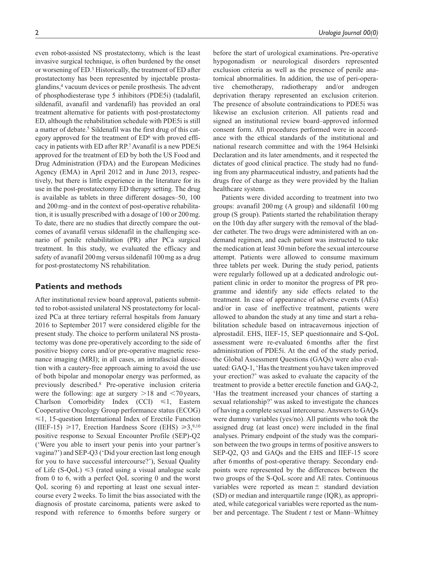even robot-assisted NS prostatectomy, which is the least invasive surgical technique, is often burdened by the onset or worsening of ED.3 Historically, the treatment of ED after prostatectomy has been represented by injectable prostaglandins,4 vacuum devices or penile prosthesis. The advent of phosphodiesterase type 5 inhibitors (PDE5i) (tadalafil, sildenafil, avanafil and vardenafil) has provided an oral treatment alternative for patients with post-prostatectomy ED, although the rehabilitation schedule with PDE5i is still a matter of debate.5 Sildenafil was the first drug of this category approved for the treatment of  $ED<sup>6</sup>$  with proved efficacy in patients with ED after RP.7 Avanafil is a new PDE5i approved for the treatment of ED by both the US Food and Drug Administration (FDA) and the European Medicines Agency (EMA) in April 2012 and in June 2013, respectively, but there is little experience in the literature for its use in the post-prostatectomy ED therapy setting. The drug is available as tablets in three different dosages–50, 100 and 200mg–and in the context of post-operative rehabilitation, it is usually prescribed with a dosage of 100 or 200mg. To date, there are no studies that directly compare the outcomes of avanafil versus sildenafil in the challenging scenario of penile rehabilitation (PR) after PCa surgical treatment. In this study, we evaluated the efficacy and safety of avanafil 200mg versus sildenafil 100mg as a drug for post-prostatectomy NS rehabilitation.

# **Patients and methods**

After institutional review board approval, patients submitted to robot-assisted unilateral NS prostatectomy for localized PCa at three tertiary referral hospitals from January 2016 to September 2017 were considered eligible for the present study. The choice to perform unilateral NS prostatectomy was done pre-operatively according to the side of positive biopsy cores and/or pre-operative magnetic resonance imaging (MRI); in all cases, an intrafascial dissection with a cautery-free approach aiming to avoid the use of both bipolar and monopolar energy was performed, as previously described.8 Pre-operative inclusion criteria were the following: age at surgery  $>18$  and  $< 70$  years, Charlson Comorbidity Index  $(CCI) \le 1$ , Eastern Cooperative Oncology Group performance status (ECOG)  $\leq 1$ , 15-question International Index of Erectile Function (IIEF-15)  $\geq 17$ , Erection Hardness Score (EHS)  $\geq 3,^{9,10}$ positive response to Sexual Encounter Profile (SEP)-Q2 ('Were you able to insert your penis into your partner's vagina?') and SEP-Q3 ('Did your erection last long enough for you to have successful intercourse?'), Sexual Quality of Life (S-QoL)  $\leq$ 3 (rated using a visual analogue scale from 0 to 6, with a perfect QoL scoring 0 and the worst QoL scoring 6) and reporting at least one sexual intercourse every 2weeks. To limit the bias associated with the diagnosis of prostate carcinoma, patients were asked to respond with reference to 6months before surgery or

before the start of urological examinations. Pre-operative hypogonadism or neurological disorders represented exclusion criteria as well as the presence of penile anatomical abnormalities. In addition, the use of peri-operative chemotherapy, radiotherapy and/or androgen deprivation therapy represented an exclusion criterion. The presence of absolute contraindications to PDE5i was likewise an exclusion criterion. All patients read and signed an institutional review board–approved informed consent form. All procedures performed were in accordance with the ethical standards of the institutional and national research committee and with the 1964 Helsinki Declaration and its later amendments, and it respected the dictates of good clinical practice. The study had no funding from any pharmaceutical industry, and patients had the drugs free of charge as they were provided by the Italian healthcare system.

Patients were divided according to treatment into two groups: avanafil 200mg (A group) and sildenafil 100mg group (S group). Patients started the rehabilitation therapy on the 10th day after surgery with the removal of the bladder catheter. The two drugs were administered with an ondemand regimen, and each patient was instructed to take the medication at least 30min before the sexual intercourse attempt. Patients were allowed to consume maximum three tablets per week. During the study period, patients were regularly followed up at a dedicated andrologic outpatient clinic in order to monitor the progress of PR programme and identify any side effects related to the treatment. In case of appearance of adverse events (AEs) and/or in case of ineffective treatment, patients were allowed to abandon the study at any time and start a rehabilitation schedule based on intracavernous injection of alprostadil. EHS, IIEF-15, SEP questionnaire and S-QoL assessment were re-evaluated 6months after the first administration of PDE5i. At the end of the study period, the Global Assessment Questions (GAQs) were also evaluated: GAQ-1, 'Has the treatment you have taken improved your erection?' was asked to evaluate the capacity of the treatment to provide a better erectile function and GAQ-2, 'Has the treatment increased your chances of starting a sexual relationship?' was asked to investigate the chances of having a complete sexual intercourse. Answers to GAQs were dummy variables (yes/no). All patients who took the assigned drug (at least once) were included in the final analyses. Primary endpoint of the study was the comparison between the two groups in terms of positive answers to SEP-Q2, Q3 and GAQs and the EHS and IIEF-15 score after 6months of post-operative therapy. Secondary endpoints were represented by the differences between the two groups of the S-QoL score and AE rates. Continuous variables were reported as mean  $\pm$  standard deviation (SD) or median and interquartile range (IQR), as appropriated, while categorical variables were reported as the number and percentage. The Student *t* test or Mann–Whitney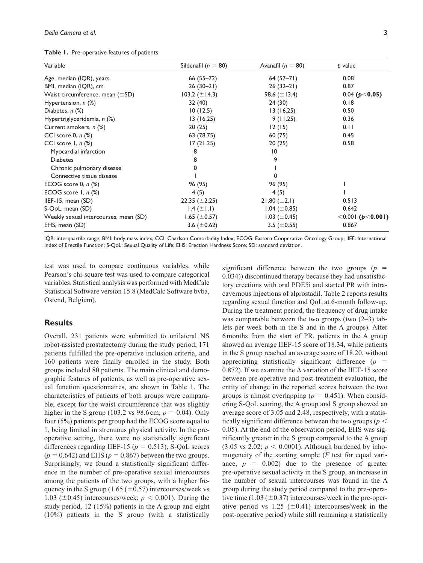|  | Table 1. Pre-operative features of patients. |  |  |  |
|--|----------------------------------------------|--|--|--|
|--|----------------------------------------------|--|--|--|

| Variable                              | Sildenafil ( $n = 80$ ) | Avanafil ( $n = 80$ ) | p value                 |
|---------------------------------------|-------------------------|-----------------------|-------------------------|
| Age, median (IQR), years              | $66(55 - 72)$           | $64(57-71)$           | 0.08                    |
| BMI, median (IQR), cm                 | $26(30-21)$             | $26(32-21)$           | 0.87                    |
| Waist circumference, mean $(\pm SD)$  | 103.2 $(\pm 14.3)$      | 98.6 $(\pm 13.4)$     | 0.04 ( $p$ < 0.05)      |
| Hypertension, n (%)                   | 32 (40)                 | 24 (30)               | 0.18                    |
| Diabetes, n (%)                       | 10(12.5)                | 13(16.25)             | 0.50                    |
| Hypertriglyceridemia, n (%)           | 13(16.25)               | 9(11.25)              | 0.36                    |
| Current smokers, n (%)                | 20(25)                  | 12(15)                | 0.11                    |
| CCI score 0, $n$ $%$                  | 63 (78.75)              | 60(75)                | 0.45                    |
| CCI score 1, n (%)                    | 17(21.25)               | 20(25)                | 0.58                    |
| Myocardial infarction                 | 8                       | $\overline{10}$       |                         |
| <b>Diabetes</b>                       | 8                       | 9                     |                         |
| Chronic pulmonary disease             | 0                       |                       |                         |
| Connective tissue disease             |                         | 0                     |                         |
| ECOG score 0, $n$ $%$                 | 96 (95)                 | 96 (95)               |                         |
| ECOG score $1, n$ (%)                 | 4(5)                    | 4(5)                  |                         |
| IIEF-15, mean $(SD)$                  | 22.35 $(\pm 2.25)$      | 21.80 $(\pm 2.1)$     | 0.513                   |
| S-QoL, mean (SD)                      | 1.4 $(\pm 1.1)$         | 1.04 $(\pm 0.85)$     | 0.642                   |
| Weekly sexual intercourses, mean (SD) | 1.65 $(\pm 0.57)$       | 1.03 $(\pm 0.45)$     | $<$ 0.001 (p $<$ 0.001) |
| EHS, mean (SD)                        | 3.6 $(\pm 0.62)$        | 3.5 $(\pm 0.55)$      | 0.867                   |

IQR: interquartile range; BMI: body mass index; CCI: Charlson Comorbidity Index; ECOG: Eastern Cooperative Oncology Group; IIEF: International Index of Erectile Function; S-QoL: Sexual Quality of Life; EHS: Erection Hardness Score; SD: standard deviation.

test was used to compare continuous variables, while Pearson's chi-square test was used to compare categorical variables. Statistical analysis was performed with MedCalc Statistical Software version 15.8 (MedCalc Software bvba, Ostend, Belgium).

# **Results**

Overall, 231 patients were submitted to unilateral NS robot-assisted prostatectomy during the study period; 171 patients fulfilled the pre-operative inclusion criteria, and 160 patients were finally enrolled in the study. Both groups included 80 patients. The main clinical and demographic features of patients, as well as pre-operative sexual function questionnaires, are shown in Table 1. The characteristics of patients of both groups were comparable, except for the waist circumference that was slightly higher in the S group (103.2 vs 98.6 cm;  $p = 0.04$ ). Only four (5%) patients per group had the ECOG score equal to 1, being limited in strenuous physical activity. In the preoperative setting, there were no statistically significant differences regarding IIEF-15 ( $p = 0.513$ ), S-QoL scores  $(p = 0.642)$  and EHS  $(p = 0.867)$  between the two groups. Surprisingly, we found a statistically significant difference in the number of pre-operative sexual intercourses among the patients of the two groups, with a higher frequency in the S group  $(1.65 \ (\pm 0.57)$  intercourses/week vs 1.03 ( $\pm$ 0.45) intercourses/week;  $p < 0.001$ ). During the study period, 12 (15%) patients in the A group and eight (10%) patients in the S group (with a statistically

significant difference between the two groups  $(p =$ 0.034)) discontinued therapy because they had unsatisfactory erections with oral PDE5i and started PR with intracavernous injections of alprostadil. Table 2 reports results regarding sexual function and QoL at 6-month follow-up. During the treatment period, the frequency of drug intake was comparable between the two groups (two  $(2-3)$ ) tablets per week both in the S and in the A groups). After 6months from the start of PR, patients in the A group showed an average IIEF-15 score of 18.34, while patients in the S group reached an average score of 18.20, without appreciating statistically significant difference  $(p =$ 0.872). If we examine the  $\Delta$  variation of the IIEF-15 score between pre-operative and post-treatment evaluation, the entity of change in the reported scores between the two groups is almost overlapping  $(p = 0.451)$ . When considering S-QoL scoring, the A group and S group showed an average score of 3.05 and 2.48, respectively, with a statistically significant difference between the two groups (*p* < 0.05). At the end of the observation period, EHS was significantly greater in the S group compared to the A group  $(3.05 \text{ vs } 2.02; p < 0.0001)$ . Although burdened by inhomogeneity of the starting sample (*F* test for equal variance,  $p = 0.002$ ) due to the presence of greater pre-operative sexual activity in the S group, an increase in the number of sexual intercourses was found in the A group during the study period compared to the pre-operative time  $(1.03 \ (\pm 0.37)$  intercourses/week in the pre-operative period vs 1.25 ( $\pm$ 0.41) intercourses/week in the post-operative period) while still remaining a statistically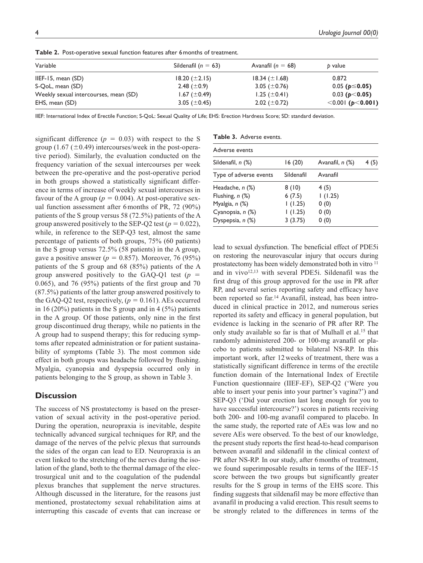| Variable                              | Sildenafil ( $n = 63$ ) | Avanafil ( $n = 68$ ) | b value                        |
|---------------------------------------|-------------------------|-----------------------|--------------------------------|
| IIEF-15, mean $(SD)$                  | $18.20 (\pm 2.15)$      | 18.34 $(\pm 1.68)$    | 0.872                          |
| S-QoL, mean (SD)                      | 2.48 $(\pm 0.9)$        | 3.05 ( $\pm$ 0.76)    | $0.05$ ( $p \le 0.05$ )        |
| Weekly sexual intercourses, mean (SD) | 1.67 ( $\pm$ 0.49)      | 1.25 $(\pm 0.41)$     | 0.03 ( $p$ < 0.05)             |
| EHS, mean (SD)                        | 3.05 ( $\pm$ 0.45)      | 2.02 $(\pm 0.72)$     | $\leq 0.001$ (p $\leq 0.001$ ) |

**Table 2.** Post-operative sexual function features after 6months of treatment.

IIEF: International Index of Erectile Function; S-QoL: Sexual Quality of Life; EHS: Erection Hardness Score; SD: standard deviation.

significant difference  $(p = 0.03)$  with respect to the S group  $(1.67 \, (\pm 0.49)$  intercourses/week in the post-operative period). Similarly, the evaluation conducted on the frequency variation of the sexual intercourses per week between the pre-operative and the post-operative period in both groups showed a statistically significant difference in terms of increase of weekly sexual intercourses in favour of the A group ( $p = 0.004$ ). At post-operative sexual function assessment after 6months of PR, 72 (90%) patients of the S group versus 58 (72.5%) patients of the A group answered positively to the SEP-Q2 test ( $p = 0.022$ ), while, in reference to the SEP-Q3 test, almost the same percentage of patients of both groups, 75% (60 patients) in the S group versus 72.5% (58 patients) in the A group, gave a positive answer ( $p = 0.857$ ). Moreover, 76 (95%) patients of the S group and 68 (85%) patients of the A group answered positively to the GAQ-Q1 test  $(p =$ 0.065), and 76 (95%) patients of the first group and 70 (87.5%) patients of the latter group answered positively to the GAQ-Q2 test, respectively,  $(p = 0.161)$ . AEs occurred in 16 (20%) patients in the S group and in 4 (5%) patients in the A group. Of those patients, only nine in the first group discontinued drug therapy, while no patients in the A group had to suspend therapy; this for reducing symptoms after repeated administration or for patient sustainability of symptoms (Table 3). The most common side effect in both groups was headache followed by flushing. Myalgia, cyanopsia and dyspepsia occurred only in patients belonging to the S group, as shown in Table 3.

## **Discussion**

The success of NS prostatectomy is based on the preservation of sexual activity in the post-operative period. During the operation, neuropraxia is inevitable, despite technically advanced surgical techniques for RP, and the damage of the nerves of the pelvic plexus that surrounds the sides of the organ can lead to ED. Neuropraxia is an event linked to the stretching of the nerves during the isolation of the gland, both to the thermal damage of the electrosurgical unit and to the coagulation of the pudendal plexus branches that supplement the nerve structures. Although discussed in the literature, for the reasons just mentioned, prostatectomy sexual rehabilitation aims at interrupting this cascade of events that can increase or

| Table 3. Adverse events. |            |                 |      |  |  |  |  |
|--------------------------|------------|-----------------|------|--|--|--|--|
| Adverse events           |            |                 |      |  |  |  |  |
| Sildenafil, n (%)        | 16(20)     | Avanafil, n (%) | 4(5) |  |  |  |  |
| Type of adverse events   | Sildenafil | Avanafil        |      |  |  |  |  |
| Headache, n (%)          | 8(10)      | 4(5)            |      |  |  |  |  |
| Flushing, n (%)          | 6(7.5)     | 1(1.25)         |      |  |  |  |  |
| Myalgia, $n$ $(\%)$      | 1(1.25)    | 0(0)            |      |  |  |  |  |
| Cyanopsia, n (%)         | 1(1.25)    | 0(0)            |      |  |  |  |  |
| Dyspepsia, n (%)         | 3(3.75)    | 0(0)            |      |  |  |  |  |
|                          |            |                 |      |  |  |  |  |

lead to sexual dysfunction. The beneficial effect of PDE5i on restoring the neurovascular injury that occurs during prostatectomy has been widely demonstrated both in vitro 11 and in vivo $12,13$  with several PDE5i. Sildenafil was the first drug of this group approved for the use in PR after RP, and several series reporting safety and efficacy have been reported so far.14 Avanafil, instead, has been introduced in clinical practice in 2012, and numerous series reported its safety and efficacy in general population, but evidence is lacking in the scenario of PR after RP. The only study available so far is that of Mulhall et al.<sup>15</sup> that randomly administered 200- or 100-mg avanafil or placebo to patients submitted to bilateral NS-RP. In this important work, after 12weeks of treatment, there was a statistically significant difference in terms of the erectile function domain of the International Index of Erectile Function questionnaire (IIEF-EF), SEP-Q2 ('Were you able to insert your penis into your partner's vagina?') and SEP-Q3 ('Did your erection last long enough for you to have successful intercourse?') scores in patients receiving both 200- and 100-mg avanafil compared to placebo. In the same study, the reported rate of AEs was low and no severe AEs were observed. To the best of our knowledge, the present study reports the first head-to-head comparison between avanafil and sildenafil in the clinical context of PR after NS-RP. In our study, after 6months of treatment, we found superimposable results in terms of the IIEF-15 score between the two groups but significantly greater results for the S group in terms of the EHS score. This finding suggests that sildenafil may be more effective than avanafil in producing a valid erection. This result seems to be strongly related to the differences in terms of the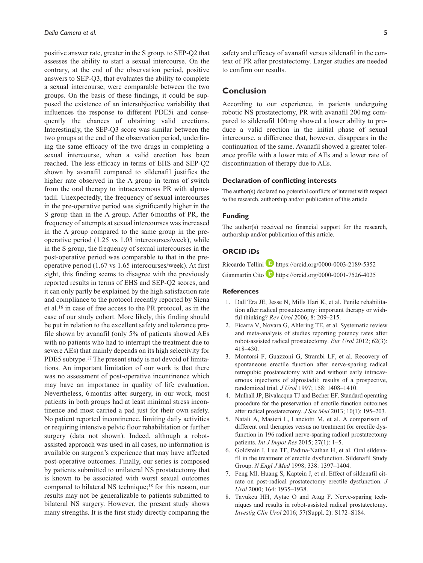positive answer rate, greater in the S group, to SEP-Q2 that assesses the ability to start a sexual intercourse. On the contrary, at the end of the observation period, positive answers to SEP-Q3, that evaluates the ability to complete a sexual intercourse, were comparable between the two groups. On the basis of these findings, it could be supposed the existence of an intersubjective variability that influences the response to different PDE5i and consequently the chances of obtaining valid erections. Interestingly, the SEP-Q3 score was similar between the two groups at the end of the observation period, underlining the same efficacy of the two drugs in completing a sexual intercourse, when a valid erection has been reached. The less efficacy in terms of EHS and SEP-Q2 shown by avanafil compared to sildenafil justifies the higher rate observed in the A group in terms of switch from the oral therapy to intracavernous PR with alprostadil. Unexpectedly, the frequency of sexual intercourses in the pre-operative period was significantly higher in the S group than in the A group. After 6months of PR, the frequency of attempts at sexual intercourses was increased in the A group compared to the same group in the preoperative period (1.25 vs 1.03 intercourses/week), while in the S group, the frequency of sexual intercourses in the post-operative period was comparable to that in the preoperative period (1.67 vs 1.65 intercourses/week). At first sight, this finding seems to disagree with the previously reported results in terms of EHS and SEP-Q2 scores, and it can only partly be explained by the high satisfaction rate and compliance to the protocol recently reported by Siena et al.16 in case of free access to the PR protocol, as in the case of our study cohort. More likely, this finding should be put in relation to the excellent safety and tolerance profile shown by avanafil (only 5% of patients showed AEs with no patients who had to interrupt the treatment due to severe AEs) that mainly depends on its high selectivity for PDE5 subtype.<sup>17</sup> The present study is not devoid of limitations. An important limitation of our work is that there was no assessment of post-operative incontinence which may have an importance in quality of life evaluation. Nevertheless, 6months after surgery, in our work, most patients in both groups had at least minimal stress incontinence and most carried a pad just for their own safety. No patient reported incontinence, limiting daily activities or requiring intensive pelvic floor rehabilitation or further surgery (data not shown). Indeed, although a robotassisted approach was used in all cases, no information is available on surgeon's experience that may have affected post-operative outcomes. Finally, our series is composed by patients submitted to unilateral NS prostatectomy that is known to be associated with worst sexual outcomes compared to bilateral NS technique;18 for this reason, our results may not be generalizable to patients submitted to bilateral NS surgery. However, the present study shows many strengths. It is the first study directly comparing the safety and efficacy of avanafil versus sildenafil in the context of PR after prostatectomy. Larger studies are needed to confirm our results.

# **Conclusion**

According to our experience, in patients undergoing robotic NS prostatectomy, PR with avanafil 200mg compared to sildenafil 100mg showed a lower ability to produce a valid erection in the initial phase of sexual intercourse, a difference that, however, disappears in the continuation of the same. Avanafil showed a greater tolerance profile with a lower rate of AEs and a lower rate of discontinuation of therapy due to AEs.

#### **Declaration of conflicting interests**

The author(s) declared no potential conflicts of interest with respect to the research, authorship and/or publication of this article.

## **Funding**

The author(s) received no financial support for the research, authorship and/or publication of this article.

## **ORCID iDs**

Riccardo Tellini **I** <https://orcid.org/0000-0003-2189-5352> Gianmartin Cito **b** <https://orcid.org/0000-0001-7526-4025>

## **References**

- 1. Dall'Era JE, Jesse N, Mills Hari K, et al. Penile rehabilitation after radical prostatectomy: important therapy or wishful thinking? *Rev Urol* 2006; 8: 209–215.
- 2. Ficarra V, Novara G, Ahlering TE, et al. Systematic review and meta-analysis of studies reporting potency rates after robot-assisted radical prostatectomy. *Eur Urol* 2012; 62(3): 418–430.
- 3. Montorsi F, Guazzoni G, Strambi LF, et al. Recovery of spontaneous erectile function after nerve-sparing radical retropubic prostatectomy with and without early intracavernous injections of alprostadil: results of a prospective, randomized trial. *J Urol* 1997; 158: 1408–1410.
- 4. Mulhall JP, Bivalacqua TJ and Becher EF. Standard operating procedure for the preservation of erectile function outcomes after radical prostatectomy. *J Sex Med* 2013; 10(1): 195–203.
- 5. Natali A, Masieri L, Lanciotti M, et al. A comparison of different oral therapies versus no treatment for erectile dysfunction in 196 radical nerve-sparing radical prostatectomy patients. *Int J Impot Res* 2015; 27(1): 1–5.
- 6. Goldstein I, Lue TF, Padma-Nathan H, et al. Oral sildenafil in the treatment of erectile dysfunction. Sildenafil Study Group. *N Engl J Med* 1998; 338: 1397–1404.
- 7. Feng MI, Huang S, Kaptein J, et al. Effect of sildenafil citrate on post-radical prostatectomy erectile dysfunction. *J Urol* 2000; 164: 1935–1938.
- 8. Tavukcu HH, Aytac O and Atug F. Nerve-sparing techniques and results in robot-assisted radical prostatectomy. *Investig Clin Urol* 2016; 57(Suppl. 2): S172–S184.